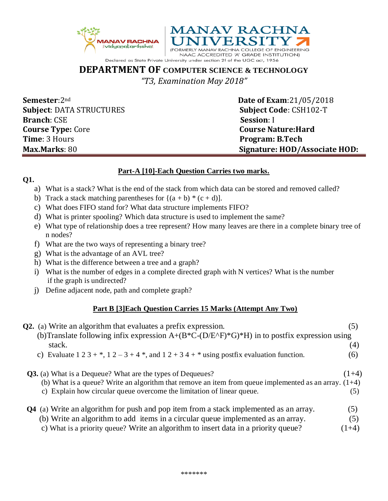



**DEPARTMENT OF COMPUTER SCIENCE & TECHNOLOGY** *"T3, Examination May 2018"*

**Semester**:2<sup>nd</sup> **Date of Exam**:21/05/2018 **Subject**: DATA STRUCTURES **Subject Code**: CSH102-T **Branch**: CSE **Session**: I **Course Type:** Core **Course Nature:Hard Time**: 3 Hours **Program: B.Tech** 

**Max.Marks**: 80 **Signature: HOD/Associate HOD:**

## **Part-A [10]-Each Question Carries two marks.**

## **Q1.**

- a) What is a stack? What is the end of the stack from which data can be stored and removed called?
- b) Track a stack matching parentheses for  $\{(a + b) * (c + d)\}.$
- c) What does FIFO stand for? What data structure implements FIFO?
- d) What is printer spooling? Which data structure is used to implement the same?
- e) What type of relationship does a tree represent? How many leaves are there in a complete binary tree of n nodes?
- f) What are the two ways of representing a binary tree?
- g) What is the advantage of an AVL tree?
- h) What is the difference between a tree and a graph?
- i) What is the number of edges in a complete directed graph with N vertices? What is the number if the graph is undirected?
- j) Define adjacent node, path and complete graph?

## **Part B [3]Each Question Carries 15 Marks (Attempt Any Two)**

| <b>Q2.</b> (a) Write an algorithm that evaluates a prefix expression.                                   | (၁.     |
|---------------------------------------------------------------------------------------------------------|---------|
| (b) Translate following infix expression $A+(B*C-(D/E\wedge F)*G)*H$ ) in to postfix expression using   |         |
| stack.                                                                                                  | (4)     |
| c) Evaluate $1\ 2\ 3 + *$ , $1\ 2 - 3 + 4 *$ , and $1\ 2 + 3\ 4 + *$ using postfix evaluation function. | (6)     |
| <b>Q3.</b> (a) What is a Dequeue? What are the types of Dequeues?                                       | $(1+4)$ |
| (b) What is a queue? Write an algorithm that remove an item from queue implemented as an array. $(1+4)$ |         |
| c) Explain how circular queue overcome the limitation of linear queue.                                  | (5)     |
| <b>Q4</b> (a) Write an algorithm for push and pop item from a stack implemented as an array.            | (5)     |
| (b) Write an algorithm to add items in a circular queue implemented as an array.                        | (5)     |
| c) What is a priority queue? Write an algorithm to insert data in a priority queue?                     | $(1+4)$ |
|                                                                                                         |         |